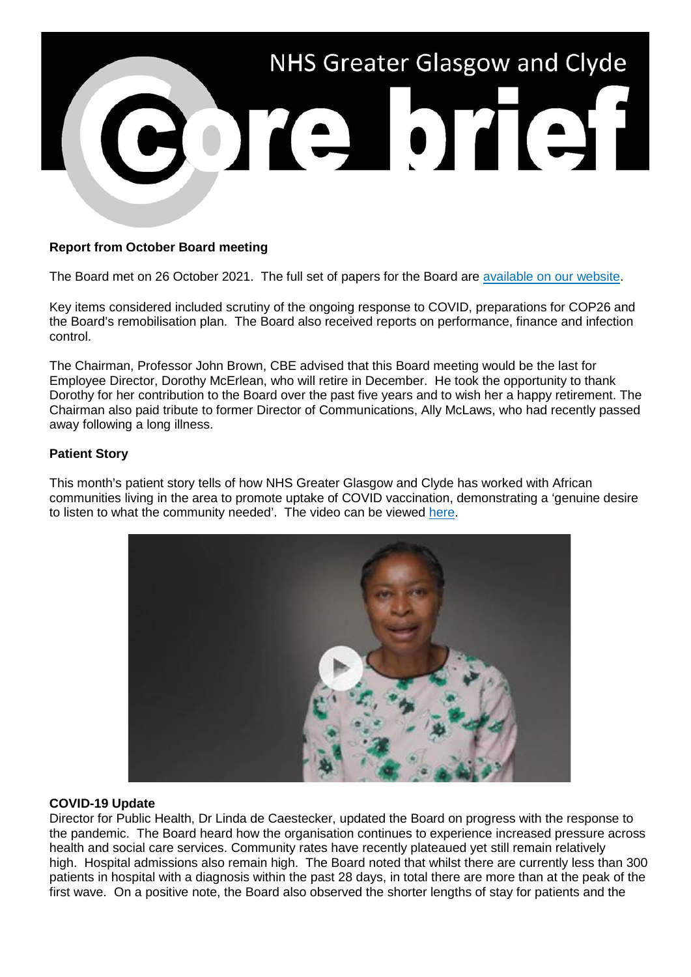

# **Report from October Board meeting**

The Board met on 26 October 2021. The full set of papers for the Board are [available on our website.](https://www.nhsggc.org.uk/about-us/nhsggc-board/board-meetings-papers-reports/papers/2021/)

Key items considered included scrutiny of the ongoing response to COVID, preparations for COP26 and the Board's remobilisation plan. The Board also received reports on performance, finance and infection control.

The Chairman, Professor John Brown, CBE advised that this Board meeting would be the last for Employee Director, Dorothy McErlean, who will retire in December. He took the opportunity to thank Dorothy for her contribution to the Board over the past five years and to wish her a happy retirement. The Chairman also paid tribute to former Director of Communications, Ally McLaws, who had recently passed away following a long illness.

## **Patient Story**

This month's patient story tells of how NHS Greater Glasgow and Clyde has worked with African communities living in the area to promote uptake of COVID vaccination, demonstrating a 'genuine desire to listen to what the community needed'. The video can be viewed [here.](https://youtu.be/PesQ3r-eKV8)



## **COVID-19 Update**

Director for Public Health, Dr Linda de Caestecker, updated the Board on progress with the response to the pandemic. The Board heard how the organisation continues to experience increased pressure across health and social care services. Community rates have recently plateaued yet still remain relatively high. Hospital admissions also remain high. The Board noted that whilst there are currently less than 300 patients in hospital with a diagnosis within the past 28 days, in total there are more than at the peak of the first wave. On a positive note, the Board also observed the shorter lengths of stay for patients and the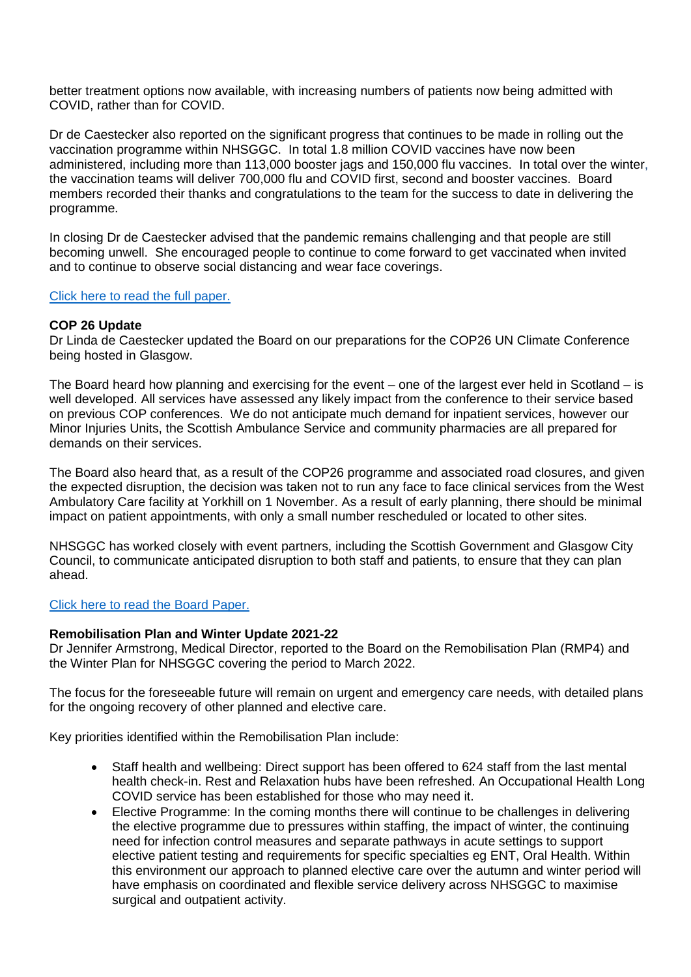better treatment options now available, with increasing numbers of patients now being admitted with COVID, rather than for COVID.

Dr de Caestecker also reported on the significant progress that continues to be made in rolling out the vaccination programme within NHSGGC. In total 1.8 million COVID vaccines have now been administered, including more than 113,000 booster jags and 150,000 flu vaccines. In total over the winter, the vaccination teams will deliver 700,000 flu and COVID first, second and booster vaccines. Board members recorded their thanks and congratulations to the team for the success to date in delivering the programme.

In closing Dr de Caestecker advised that the pandemic remains challenging and that people are still becoming unwell. She encouraged people to continue to come forward to get vaccinated when invited and to continue to observe social distancing and wear face coverings.

## [Click here to read the full paper.](https://www.nhsggc.org.uk/media/269781/item-08-paper-21_61-covid19-update.pdf)

## **COP 26 Update**

Dr Linda de Caestecker updated the Board on our preparations for the COP26 UN Climate Conference being hosted in Glasgow.

The Board heard how planning and exercising for the event – one of the largest ever held in Scotland – is well developed. All services have assessed any likely impact from the conference to their service based on previous COP conferences. We do not anticipate much demand for inpatient services, however our Minor Injuries Units, the Scottish Ambulance Service and community pharmacies are all prepared for demands on their services.

The Board also heard that, as a result of the COP26 programme and associated road closures, and given the expected disruption, the decision was taken not to run any face to face clinical services from the West Ambulatory Care facility at Yorkhill on 1 November. As a result of early planning, there should be minimal impact on patient appointments, with only a small number rescheduled or located to other sites.

NHSGGC has worked closely with event partners, including the Scottish Government and Glasgow City Council, to communicate anticipated disruption to both staff and patients, to ensure that they can plan ahead.

# [Click here to read the Board Paper.](https://www.nhsggc.org.uk/media/269783/item-09-paper-21_62-planning-for-cop26.pdf)

#### **Remobilisation Plan and Winter Update 2021-22**

Dr Jennifer Armstrong, Medical Director, reported to the Board on the Remobilisation Plan (RMP4) and the Winter Plan for NHSGGC covering the period to March 2022.

The focus for the foreseeable future will remain on urgent and emergency care needs, with detailed plans for the ongoing recovery of other planned and elective care.

Key priorities identified within the Remobilisation Plan include:

- Staff health and wellbeing: Direct support has been offered to 624 staff from the last mental health check-in. Rest and Relaxation hubs have been refreshed. An Occupational Health Long COVID service has been established for those who may need it.
- Elective Programme: In the coming months there will continue to be challenges in delivering the elective programme due to pressures within staffing, the impact of winter, the continuing need for infection control measures and separate pathways in acute settings to support elective patient testing and requirements for specific specialties eg ENT, Oral Health. Within this environment our approach to planned elective care over the autumn and winter period will have emphasis on coordinated and flexible service delivery across NHSGGC to maximise surgical and outpatient activity.